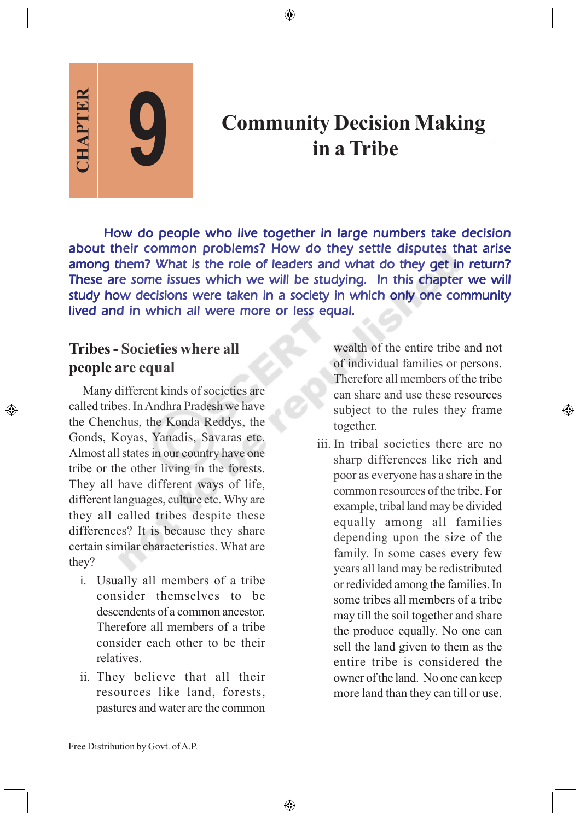**CHAPTER**

◈

# **Community Decision Making in a Tribe**

How do people who live together in large numbers take decision about their common problems? How do they settle disputes that arise among them? What is the role of leaders and what do they get in return? These are some issues which we will be studying. In this chapter we will study how decisions were taken in a society in which only one community lived and in which all were more or less equal.

♠

## **Tribes - Societies where all people are equal**

**9**

Many different kinds of societies are called tribes. In Andhra Pradesh we have the Chenchus, the Konda Reddys, the Gonds, Koyas, Yanadis, Savaras etc. Almost all states in our country have one tribe or the other living in the forests. They all have different ways of life, different languages, culture etc. Why are they all called tribes despite these differences? It is because they share certain similar characteristics. What are they?

- i. Usually all members of a tribe consider themselves to be descendents of a common ancestor. Therefore all members of a tribe consider each other to be their relatives.
- ii. They believe that all their resources like land, forests, pastures and water are the common

wealth of the entire tribe and not of individual families or persons. Therefore all members of the tribe can share and use these resources subject to the rules they frame together.

 $\bigoplus$ 

iii. In tribal societies there are no sharp differences like rich and poor as everyone has a share in the common resources of the tribe. For example, tribal land may be divided equally among all families depending upon the size of the family. In some cases every few years all land may be redistributed or redivided among the families. In some tribes all members of a tribe may till the soil together and share the produce equally. No one can sell the land given to them as the entire tribe is considered the owner of the land. No one can keep more land than they can till or use.

Free Distribution by Govt. of A.P.

♠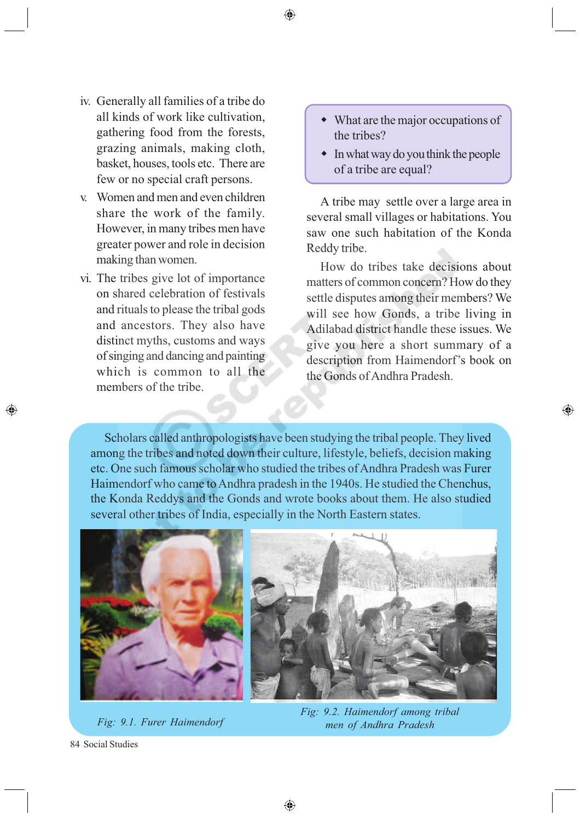- iv. Generally all families of a tribe do all kinds of work like cultivation, gathering food from the forests, grazing animals, making cloth, basket, houses, tools etc. There are few or no special craft persons.
- v. Women and men and even children share the work of the family. However, in many tribes men have greater power and role in decision making than women.
- vi. The tribes give lot of importance on shared celebration of festivals and rituals to please the tribal gods and ancestors. They also have distinct myths, customs and ways of singing and dancing and painting which is common to all the members of the tribe.
- What are the major occupations of the tribes?
- $\bullet$  In what way do you think the people of a tribe are equal?

A tribe may settle over a large area in several small villages or habitations. You saw one such habitation of the Konda Reddy tribe.

How do tribes take decisions about matters of common concern? How do they settle disputes among their members? We will see how Gonds, a tribe living in Adilabad district handle these issues. We give you here a short summary of a description from Haimendorf's book on the Gonds of Andhra Pradesh.

⊕

Scholars called anthropologists have been studying the tribal people. They lived among the tribes and noted down their culture, lifestyle, beliefs, decision making etc. One such famous scholar who studied the tribes of Andhra Pradesh was Furer Haimendorf who came to Andhra pradesh in the 1940s. He studied the Chenchus, the Konda Reddys and the Gonds and wrote books about them. He also studied several other tribes of India, especially in the North Eastern states.



*Fig: 9.1. Furer Haimendorf*



*Fig: 9.2. Haimendorf among tribal men of Andhra Pradesh*

84 Social Studies

◈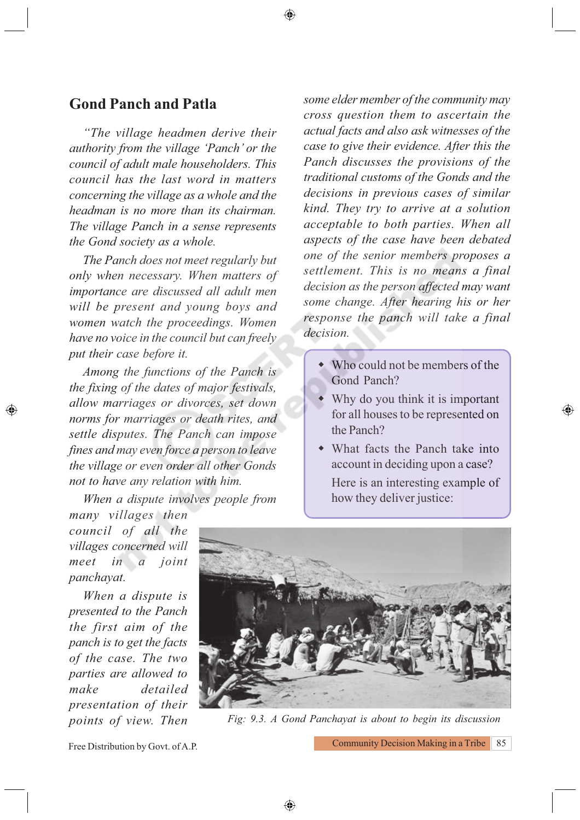### **Gond Panch and Patla**

*"The village headmen derive their authority from the village 'Panch' or the council of adult male householders. This council has the last word in matters concerning the village as a whole and the headman is no more than its chairman. The village Panch in a sense represents the Gond society as a whole.*

*The Panch does not meet regularly but only when necessary. When matters of importance are discussed all adult men will be present and young boys and women watch the proceedings. Women have no voice in the council but can freely put their case before it.*

*Among the functions of the Panch is the fixing of the dates of major festivals, allow marriages or divorces, set down norms for marriages or death rites, and settle disputes. The Panch can impose fines and may even force a person to leave the village or even order all other Gonds not to have any relation with him.*

*When a dispute involves people from*

*many villages then council of all the villages concerned will meet in a joint panchayat.*

◈

*When a dispute is presented to the Panch the first aim of the panch is to get the facts of the case. The two parties are allowed to make detailed presentation of their* *some elder member of the community may cross question them to ascertain the actual facts and also ask witnesses of the case to give their evidence. After this the Panch discusses the provisions of the traditional customs of the Gonds and the decisions in previous cases of similar kind. They try to arrive at a solution acceptable to both parties. When all aspects of the case have been debated one of the senior members proposes a settlement. This is no means a final decision as the person affected may want some change. After hearing his or her response the panch will take a final decision.*

- Who could not be members of the Gond Panch?
- Why do you think it is important for all houses to be represented on the Panch?

⊕

 What facts the Panch take into account in deciding upon a case? Here is an interesting example of how they deliver justice:



*points of view. Then Fig: 9.3. A Gond Panchayat is about to begin its discussion*

Free Distribution by Govt. of A.P.

Community Decision Making in a Tribe 85

◈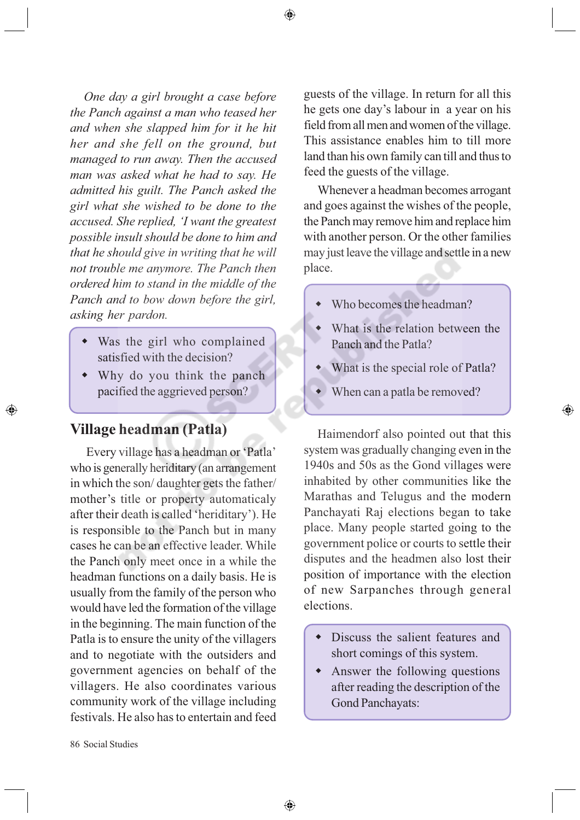*One day a girl brought a case before the Panch against a man who teased her and when she slapped him for it he hit her and she fell on the ground, but managed to run away. Then the accused man was asked what he had to say. He admitted his guilt. The Panch asked the girl what she wished to be done to the accused. She replied, 'I want the greatest possible insult should be done to him and that he should give in writing that he will not trouble me anymore. The Panch then ordered him to stand in the middle of the Panch and to bow down before the girl, asking her pardon.*

- Was the girl who complained satisfied with the decision?
- Why do you think the panch pacified the aggrieved person?

### **Village headman (Patla)**

◈

 Every village has a headman or 'Patla' who is generally heriditary (an arrangement in which the son/ daughter gets the father/ mother's title or property automaticaly after their death is called 'heriditary'). He is responsible to the Panch but in many cases he can be an effective leader. While the Panch only meet once in a while the headman functions on a daily basis. He is usually from the family of the person who would have led the formation of the village in the beginning. The main function of the Patla is to ensure the unity of the villagers and to negotiate with the outsiders and government agencies on behalf of the villagers. He also coordinates various community work of the village including festivals. He also has to entertain and feed guests of the village. In return for all this he gets one day's labour in a year on his field from all men and women of the village. This assistance enables him to till more land than his own family can till and thus to feed the guests of the village.

Whenever a headman becomes arrogant and goes against the wishes of the people, the Panch may remove him and replace him with another person. Or the other families may just leave the village and settle in a new place.

- Who becomes the headman?
- What is the relation between the Panch and the Patla?
- What is the special role of Patla?

♠

When can a patla be removed?

Haimendorf also pointed out that this system was gradually changing even in the 1940s and 50s as the Gond villages were inhabited by other communities like the Marathas and Telugus and the modern Panchayati Raj elections began to take place. Many people started going to the government police or courts to settle their disputes and the headmen also lost their position of importance with the election of new Sarpanches through general elections.

- Discuss the salient features and short comings of this system.
- Answer the following questions after reading the description of the Gond Panchayats: